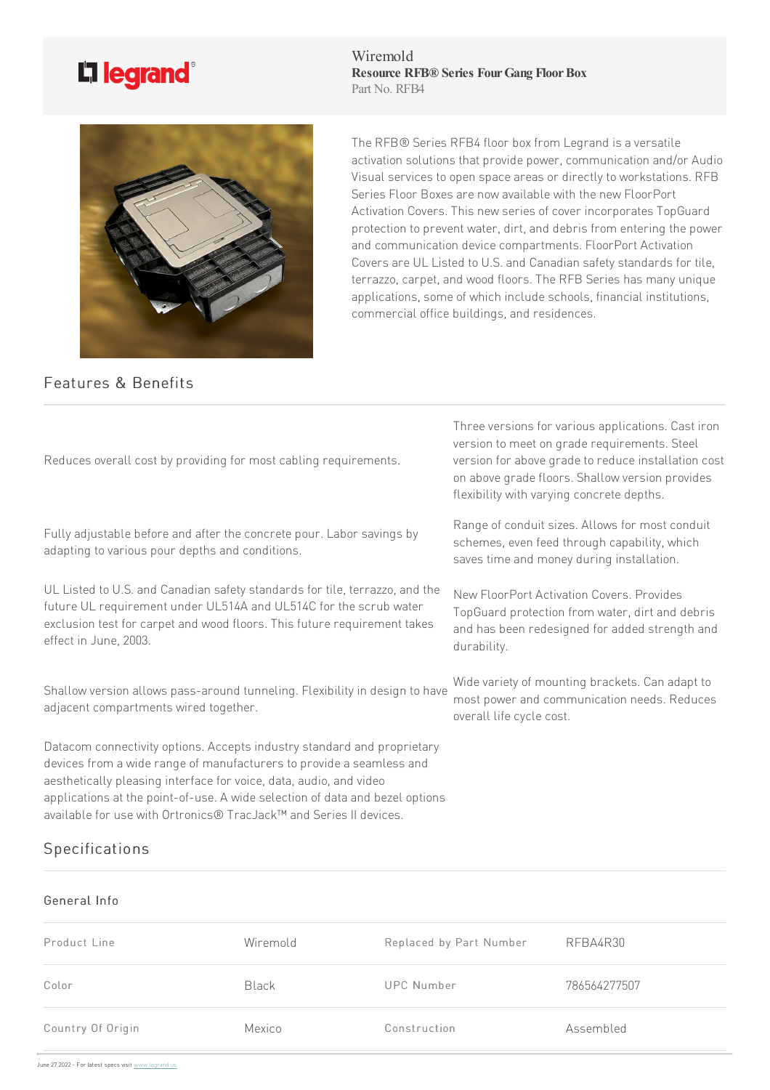## L'i legrand<sup>®</sup>

Wiremold **Resource RFB® Series FourGang FloorBox** Part No. RFB4



Features & Benefits

The RFB® Series RFB4 floor box from Legrand is a versatile activation solutions that provide power, communication and/or Audio Visual services to open space areas or directly to workstations. RFB Series Floor Boxes are now available with the new FloorPort Activation Covers. This new series of cover incorporates TopGuard protection to prevent water, dirt, and debris from entering the power and communication device compartments. FloorPort Activation Covers are UL Listed to U.S. and Canadian safety standards for tile, terrazzo, carpet, and wood floors. The RFB Series has many unique applications, some of which include schools, financial institutions, commercial office buildings, and residences.

| Reduces overall cost by providing for most cabling requirements.                                                                                                                                                                                                                                                                                                            | Three versions for various applications. Cast iron<br>version to meet on grade requirements. Steel<br>version for above grade to reduce installation cost<br>on above grade floors. Shallow version provides<br>flexibility with varying concrete depths. |
|-----------------------------------------------------------------------------------------------------------------------------------------------------------------------------------------------------------------------------------------------------------------------------------------------------------------------------------------------------------------------------|-----------------------------------------------------------------------------------------------------------------------------------------------------------------------------------------------------------------------------------------------------------|
| Fully adjustable before and after the concrete pour. Labor savings by<br>adapting to various pour depths and conditions.                                                                                                                                                                                                                                                    | Range of conduit sizes. Allows for most conduit<br>schemes, even feed through capability, which<br>saves time and money during installation.                                                                                                              |
| UL Listed to U.S. and Canadian safety standards for tile, terrazzo, and the<br>future UL requirement under UL514A and UL514C for the scrub water<br>exclusion test for carpet and wood floors. This future requirement takes<br>effect in June, 2003.                                                                                                                       | New FloorPort Activation Covers. Provides<br>TopGuard protection from water, dirt and debris<br>and has been redesigned for added strength and<br>durability.                                                                                             |
| Shallow version allows pass-around tunneling. Flexibility in design to have<br>adjacent compartments wired together.                                                                                                                                                                                                                                                        | Wide variety of mounting brackets. Can adapt to<br>most power and communication needs. Reduces<br>overall life cycle cost.                                                                                                                                |
| Datacom connectivity options. Accepts industry standard and proprietary<br>devices from a wide range of manufacturers to provide a seamless and<br>aesthetically pleasing interface for voice, data, audio, and video<br>applications at the point-of-use. A wide selection of data and bezel options<br>available for use with Ortronics® TracJack™ and Series II devices. |                                                                                                                                                                                                                                                           |
| Specifications                                                                                                                                                                                                                                                                                                                                                              |                                                                                                                                                                                                                                                           |

## General Info

| Product Line      | Wiremold     | Replaced by Part Number | RFBA4R30     |
|-------------------|--------------|-------------------------|--------------|
| Color             | <b>Black</b> | <b>UPC Number</b>       | 786564277507 |
| Country Of Origin | Mexico       | Construction            | Assembled    |